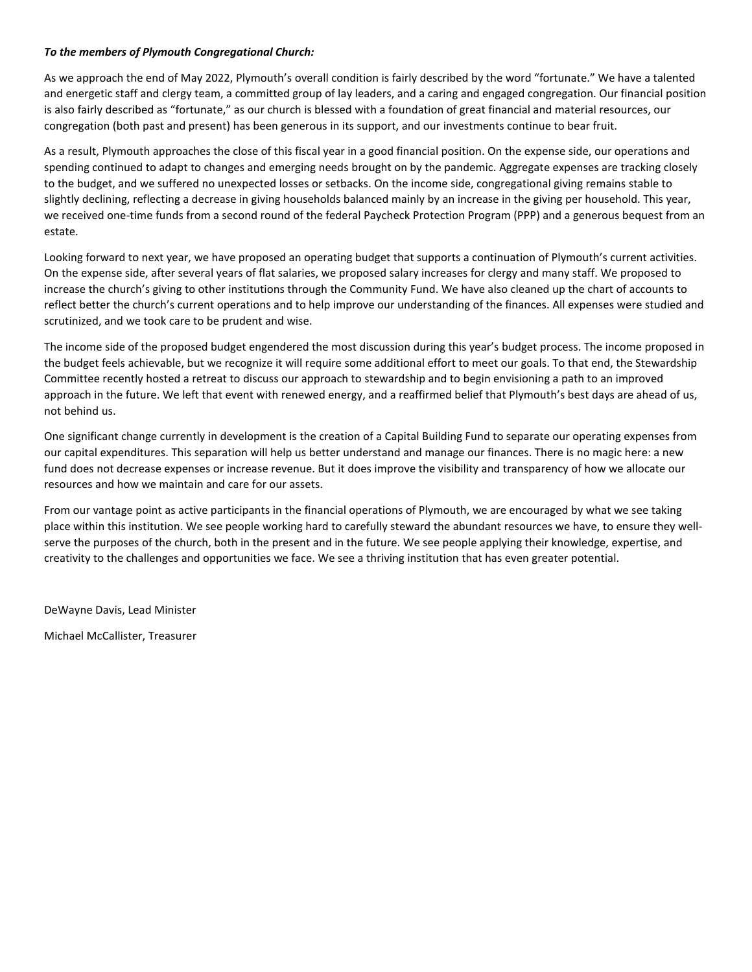## *To the members of Plymouth Congregational Church:*

As we approach the end of May 2022, Plymouth's overall condition is fairly described by the word "fortunate." We have a talented and energetic staff and clergy team, a committed group of lay leaders, and a caring and engaged congregation. Our financial position is also fairly described as "fortunate," as our church is blessed with a foundation of great financial and material resources, our congregation (both past and present) has been generous in its support, and our investments continue to bear fruit.

As a result, Plymouth approaches the close of this fiscal year in a good financial position. On the expense side, our operations and spending continued to adapt to changes and emerging needs brought on by the pandemic. Aggregate expenses are tracking closely to the budget, and we suffered no unexpected losses or setbacks. On the income side, congregational giving remains stable to slightly declining, reflecting a decrease in giving households balanced mainly by an increase in the giving per household. This year, we received one-time funds from a second round of the federal Paycheck Protection Program (PPP) and a generous bequest from an estate.

Looking forward to next year, we have proposed an operating budget that supports a continuation of Plymouth's current activities. On the expense side, after several years of flat salaries, we proposed salary increases for clergy and many staff. We proposed to increase the church's giving to other institutions through the Community Fund. We have also cleaned up the chart of accounts to reflect better the church's current operations and to help improve our understanding of the finances. All expenses were studied and scrutinized, and we took care to be prudent and wise.

The income side of the proposed budget engendered the most discussion during this year's budget process. The income proposed in the budget feels achievable, but we recognize it will require some additional effort to meet our goals. To that end, the Stewardship Committee recently hosted a retreat to discuss our approach to stewardship and to begin envisioning a path to an improved approach in the future. We left that event with renewed energy, and a reaffirmed belief that Plymouth's best days are ahead of us, not behind us.

One significant change currently in development is the creation of a Capital Building Fund to separate our operating expenses from our capital expenditures. This separation will help us better understand and manage our finances. There is no magic here: a new fund does not decrease expenses or increase revenue. But it does improve the visibility and transparency of how we allocate our resources and how we maintain and care for our assets.

From our vantage point as active participants in the financial operations of Plymouth, we are encouraged by what we see taking place within this institution. We see people working hard to carefully steward the abundant resources we have, to ensure they wellserve the purposes of the church, both in the present and in the future. We see people applying their knowledge, expertise, and creativity to the challenges and opportunities we face. We see a thriving institution that has even greater potential.

DeWayne Davis, Lead Minister

Michael McCallister, Treasurer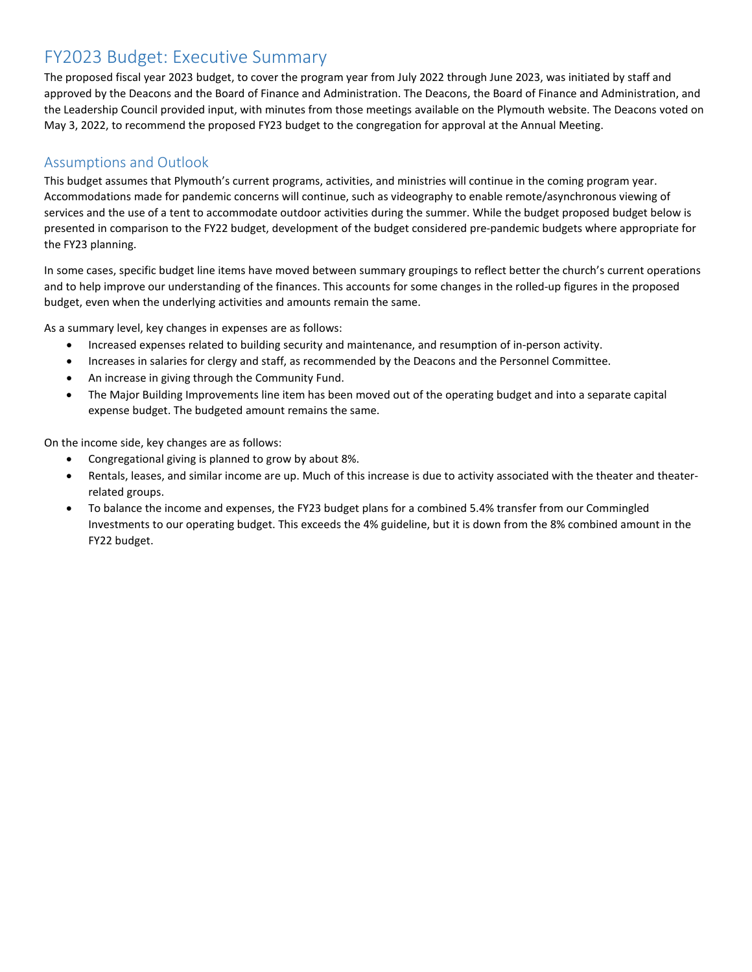## FY2023 Budget: Executive Summary

The proposed fiscal year 2023 budget, to cover the program year from July 2022 through June 2023, was initiated by staff and approved by the Deacons and the Board of Finance and Administration. The Deacons, the Board of Finance and Administration, and the Leadership Council provided input, with minutes from those meetings available on the Plymouth website. The Deacons voted on May 3, 2022, to recommend the proposed FY23 budget to the congregation for approval at the Annual Meeting.

## Assumptions and Outlook

This budget assumes that Plymouth's current programs, activities, and ministries will continue in the coming program year. Accommodations made for pandemic concerns will continue, such as videography to enable remote/asynchronous viewing of services and the use of a tent to accommodate outdoor activities during the summer. While the budget proposed budget below is presented in comparison to the FY22 budget, development of the budget considered pre-pandemic budgets where appropriate for the FY23 planning.

In some cases, specific budget line items have moved between summary groupings to reflect better the church's current operations and to help improve our understanding of the finances. This accounts for some changes in the rolled-up figures in the proposed budget, even when the underlying activities and amounts remain the same.

As a summary level, key changes in expenses are as follows:

- Increased expenses related to building security and maintenance, and resumption of in-person activity.
- Increases in salaries for clergy and staff, as recommended by the Deacons and the Personnel Committee.
- An increase in giving through the Community Fund.
- The Major Building Improvements line item has been moved out of the operating budget and into a separate capital expense budget. The budgeted amount remains the same.

On the income side, key changes are as follows:

- Congregational giving is planned to grow by about 8%.
- Rentals, leases, and similar income are up. Much of this increase is due to activity associated with the theater and theaterrelated groups.
- To balance the income and expenses, the FY23 budget plans for a combined 5.4% transfer from our Commingled Investments to our operating budget. This exceeds the 4% guideline, but it is down from the 8% combined amount in the FY22 budget.